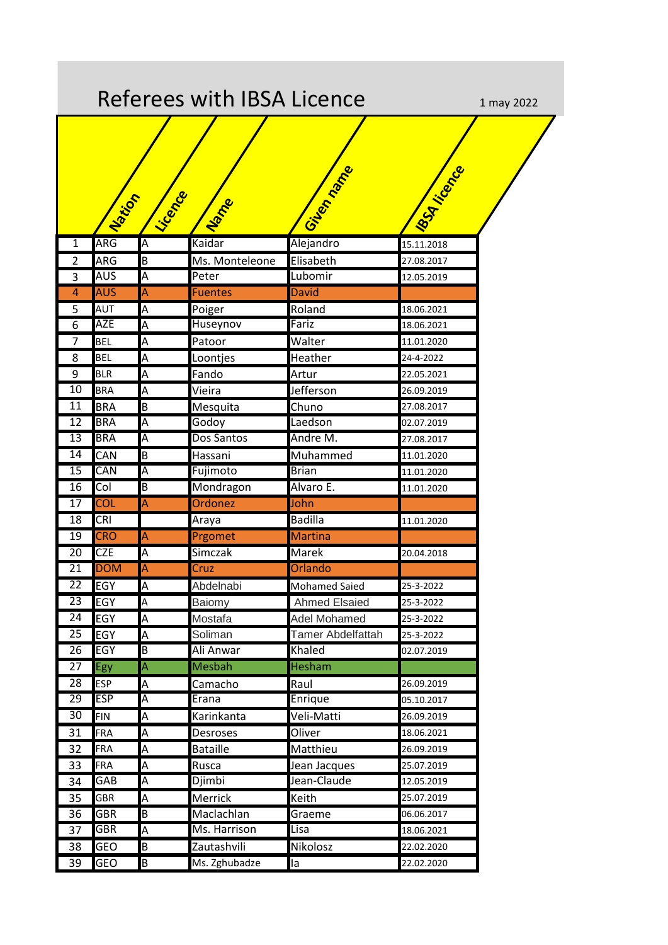| Referees with IBSA Licence<br>1 may 2022 |            |                         |                   |                      |                  |  |  |
|------------------------------------------|------------|-------------------------|-------------------|----------------------|------------------|--|--|
|                                          |            |                         |                   |                      | <b>ISSA IFEE</b> |  |  |
|                                          | Nation     | Licence                 | Name              | <b>Gilbertonage</b>  |                  |  |  |
| 1                                        | ARG        | A                       | Kaidar            | Alejandro            | 15.11.2018       |  |  |
| $\overline{2}$                           | <b>ARG</b> | B                       | Ms. Monteleone    | Elisabeth            | 27.08.2017       |  |  |
| 3                                        | AUS        | $\overline{\mathsf{A}}$ | Peter             | Lubomir              | 12.05.2019       |  |  |
| $\overline{4}$                           | <b>AUS</b> | $\overline{\mathsf{A}}$ | <b>Fuentes</b>    | <b>David</b>         |                  |  |  |
| 5                                        | AUT        | A                       | Poiger            | Roland               | 18.06.2021       |  |  |
| 6                                        | <b>AZE</b> | A                       | Huseynov          | Fariz                | 18.06.2021       |  |  |
| 7                                        | <b>BEL</b> | A                       | Patoor            | Walter               | 11.01.2020       |  |  |
| 8                                        | <b>BEL</b> | A                       | Loontjes          | Heather              | 24-4-2022        |  |  |
| 9                                        | <b>BLR</b> | A                       | Fando             | Artur                | 22.05.2021       |  |  |
| 10                                       | <b>BRA</b> | Α                       | Vieira            | Jefferson            | 26.09.2019       |  |  |
| 11                                       | <b>BRA</b> | B                       | Mesquita          | Chuno                | 27.08.2017       |  |  |
| 12                                       | <b>BRA</b> | A                       | Godoy             | Laedson              | 02.07.2019       |  |  |
| $\overline{13}$                          | <b>BRA</b> | A                       | <b>Dos Santos</b> | Andre M.             | 27.08.2017       |  |  |
| 14                                       | CAN        | B                       | Hassani           | Muhammed             | 11.01.2020       |  |  |
| 15                                       | CAN        | A                       | Fujimoto          | <b>Brian</b>         | 11.01.2020       |  |  |
| 16                                       | Col        | B                       | Mondragon         | Alvaro E.            | 11.01.2020       |  |  |
| 17                                       | <b>COL</b> | A                       | Ordonez           | John                 |                  |  |  |
| 18                                       | <b>CRI</b> |                         | Araya             | <b>Badilla</b>       | 11.01.2020       |  |  |
| 19                                       | <b>CRO</b> | $\overline{\mathsf{A}}$ | Prgomet           | Martina              |                  |  |  |
| $\overline{20}$                          | <b>CZE</b> | Ā                       | Simczak           | <b>Marek</b>         | 20.04.2018       |  |  |
| 21                                       | <b>DOM</b> | A                       | Cruz              | Orlando              |                  |  |  |
| 22                                       | <b>EGY</b> | $\overline{\mathsf{A}}$ | Abdelnabi         | <b>Mohamed Saied</b> | 25-3-2022        |  |  |
| 23                                       | <b>EGY</b> | A                       | Baiomy            | <b>Ahmed Elsaied</b> | 25-3-2022        |  |  |
| $\overline{24}$                          | <b>EGY</b> | A                       | Mostafa           | Adel Mohamed         | 25-3-2022        |  |  |
| 25                                       | <b>EGY</b> | A                       | Soliman           | Tamer Abdelfattah    | 25-3-2022        |  |  |
| 26                                       | EGY        | B                       | Ali Anwar         | Khaled               | 02.07.2019       |  |  |
| $\overline{27}$                          | Egy        | A                       | <b>Mesbah</b>     | <b>Hesham</b>        |                  |  |  |
| 28                                       | <b>ESP</b> | A                       | Camacho           | Raul                 | 26.09.2019       |  |  |
| 29                                       | <b>ESP</b> | A                       | Erana             | Enrique              | 05.10.2017       |  |  |
| $\overline{30}$                          | <b>FIN</b> | A                       | Karinkanta        | Veli-Matti           | 26.09.2019       |  |  |
| 31                                       | FRA        | A                       | Desroses          | Oliver               | 18.06.2021       |  |  |
| 32                                       | <b>FRA</b> | A                       | <b>Bataille</b>   | Matthieu             | 26.09.2019       |  |  |
| 33                                       | <b>FRA</b> | A                       | Rusca             | Jean Jacques         | 25.07.2019       |  |  |
| 34                                       | GAB        | A                       | Djimbi            | Jean-Claude          | 12.05.2019       |  |  |
| 35                                       | GBR        | A                       | <b>Merrick</b>    | Keith                | 25.07.2019       |  |  |
| 36                                       | <b>GBR</b> | B                       | Maclachlan        | Graeme               | 06.06.2017       |  |  |
| 37                                       | <b>GBR</b> | A                       | Ms. Harrison      | Lisa                 | 18.06.2021       |  |  |
| 38                                       | GEO        | B                       | Zautashvili       | Nikolosz             | 22.02.2020       |  |  |
| 39                                       | <b>GEO</b> | B                       | Ms. Zghubadze     | la                   | 22.02.2020       |  |  |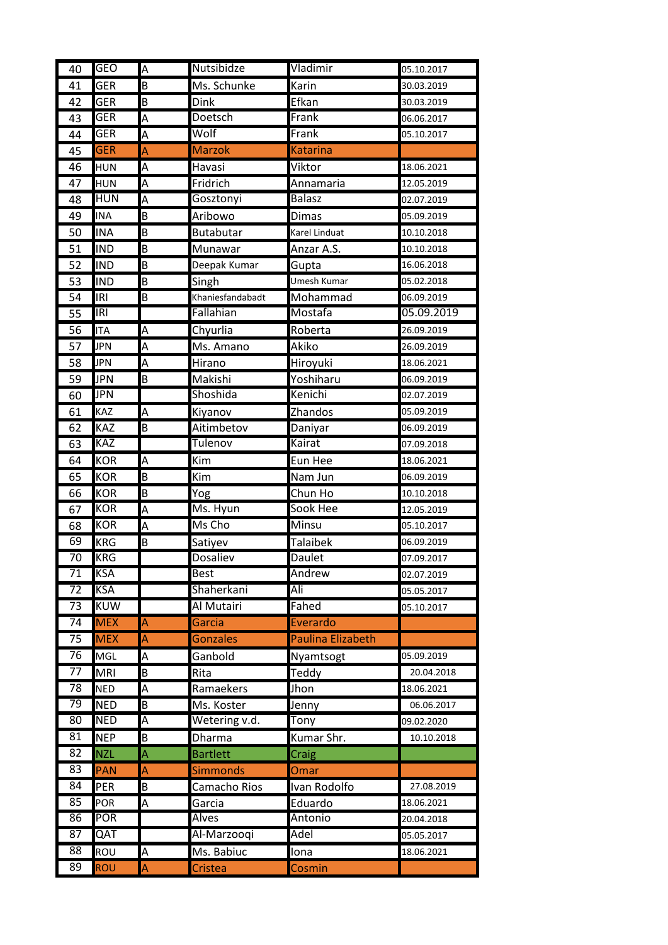| 40              | <b>GEO</b>        | A              | <b>Nutsibidze</b> | Vladimir                 | 05.10.2017 |
|-----------------|-------------------|----------------|-------------------|--------------------------|------------|
| 41              | <b>GER</b>        | B              | Ms. Schunke       | Karin                    | 30.03.2019 |
| 42              | <b>GER</b>        | B              | <b>Dink</b>       | Efkan                    | 30.03.2019 |
| 43              | <b>GER</b>        | Α              | Doetsch           | Frank                    | 06.06.2017 |
| 44              | <b>GER</b>        | Α              | Wolf              | Frank                    | 05.10.2017 |
| 45              | <b>GER</b>        | A              | <b>Marzok</b>     | <b>Katarina</b>          |            |
| 46              | <b>HUN</b>        | Α              | Havasi            | Viktor                   | 18.06.2021 |
| 47              | <b>HUN</b>        | Α              | Fridrich          | Annamaria                | 12.05.2019 |
| 48              | <b>HUN</b>        | $\overline{A}$ | Gosztonyi         | <b>Balasz</b>            | 02.07.2019 |
| 49              | <b>INA</b>        | B              | Aribowo           | <b>Dimas</b>             | 05.09.2019 |
| 50              | <b>INA</b>        | B              | <b>Butabutar</b>  | Karel Linduat            | 10.10.2018 |
| 51              | <b>IND</b>        | B              | Munawar           | Anzar A.S.               | 10.10.2018 |
| 52              | <b>IND</b>        | B              | Deepak Kumar      | Gupta                    | 16.06.2018 |
| 53              | <b>IND</b>        | B              | Singh             | Umesh Kumar              | 05.02.2018 |
| 54              | <b>IRI</b>        | B              | Khaniesfandabadt  | Mohammad                 | 06.09.2019 |
| 55              | IRI               |                | Fallahian         | Mostafa                  | 05.09.2019 |
| 56              | <b>ITA</b>        | А              | Chyurlia          | Roberta                  | 26.09.2019 |
| 57              | <b>JPN</b>        | A              | Ms. Amano         | Akiko                    | 26.09.2019 |
| 58              | JPN               | Α              | Hirano            | Hiroyuki                 | 18.06.2021 |
| 59              | <b>JPN</b>        | B              | Makishi           | Yoshiharu                | 06.09.2019 |
| 60              | <b>JPN</b>        |                | Shoshida          | Kenichi                  | 02.07.2019 |
| 61              | KAZ               | А              | Kiyanov           | Zhandos                  | 05.09.2019 |
| 62              | KAZ               | B              | Aitimbetov        | Daniyar                  | 06.09.2019 |
| 63              | KAZ               |                | Tulenov           | Kairat                   | 07.09.2018 |
| 64              | <b>KOR</b>        | A              | Kim               | Eun Hee                  | 18.06.2021 |
| 65              | <b>KOR</b>        | B              | Kim               | Nam Jun                  | 06.09.2019 |
| 66              | <b>KOR</b>        | B              | Yog               | Chun Ho                  | 10.10.2018 |
| 67              | <b>KOR</b>        | A              | Ms. Hyun          | Sook Hee                 | 12.05.2019 |
| 68              | <b>KOR</b>        | A              | Ms Cho            | Minsu                    | 05.10.2017 |
| 69              | <b>KRG</b>        | B              | Satiyev           | <b>Talaibek</b>          | 06.09.2019 |
| $\overline{70}$ | <b>KRG</b>        |                | <b>Dosaliev</b>   | <b>Daulet</b>            | 07.09.2017 |
| 71              | <b>KSA</b>        |                | <b>Best</b>       | Andrew                   | 02.07.2019 |
| 72              | <b>KSA</b>        |                | Shaherkani        | Ali                      | 05.05.2017 |
| $\overline{73}$ | <b>KUW</b>        |                | Al Mutairi        | Fahed                    | 05.10.2017 |
| $\overline{74}$ | <b>MEX</b>        | A              | Garcia            | Everardo                 |            |
| 75              | <b>MEX</b>        | A              | Gonzales          | <b>Paulina Elizabeth</b> |            |
| 76              | <b>MGL</b>        | A              | Ganbold           | Nyamtsogt                | 05.09.2019 |
| 77              | <b>MRI</b>        | B              | Rita              | Teddy                    | 20.04.2018 |
| $\overline{78}$ | <b>NED</b>        | А              | Ramaekers         | Jhon                     | 18.06.2021 |
| 79              | <b>NED</b>        | Β              | Ms. Koster        | Jenny                    | 06.06.2017 |
| 80              | <b>NED</b>        | Α              | Wetering v.d.     | Tony                     | 09.02.2020 |
| 81              | <b>NEP</b>        | B              | <b>Dharma</b>     | Kumar Shr.               | 10.10.2018 |
| 82              | <b>NZL</b>        | A              | <b>Bartlett</b>   | Craig                    |            |
| 83              | PAN               | A              | <b>Simmonds</b>   | Omar                     |            |
| 84<br>85        | PER               | Β              | Camacho Rios      | Ivan Rodolfo             | 27.08.2019 |
|                 | POR<br><b>POR</b> | A              | Garcia            | Eduardo<br>Antonio       | 18.06.2021 |
| 86<br>87        |                   |                | Alves             | Adel                     | 20.04.2018 |
| 88              | QAT               |                | Al-Marzooqi       |                          | 05.05.2017 |
|                 | ROU               | A              | Ms. Babiuc        | Iona                     | 18.06.2021 |
| 89              | <b>ROU</b>        | A              | Cristea           | Cosmin                   |            |